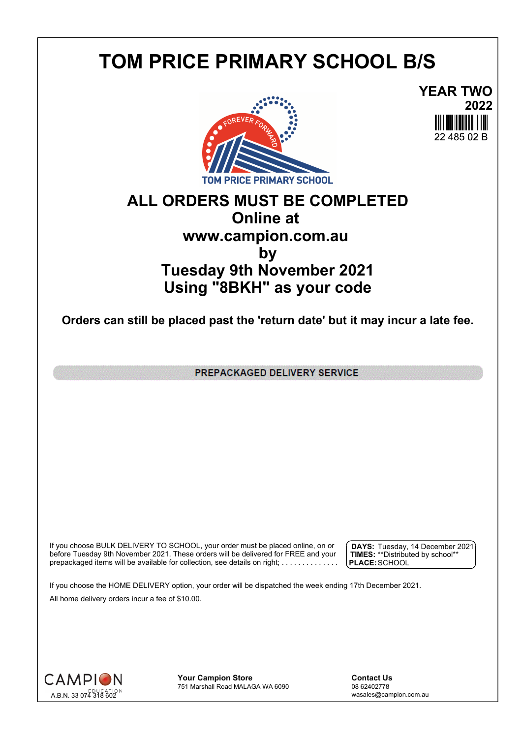## **TOM PRICE PRIMARY SCHOOL B/S**



**YEAR TWO 2022** 22 485 02 B

## **ALL ORDERS MUST BE COMPLETED Online at www.campion.com.au by Tuesday 9th November 2021 Using "8BKH" as your code**

**Orders can still be placed past the 'return date' but it may incur a late fee.**

PREPACKAGED DELIVERY SERVICE

If you choose BULK DELIVERY TO SCHOOL, your order must be placed online, on or  $\int$  DAYS: Tuesday, 1 before Tuesday 9th November 2021. These orders will be delivered for FREE and your  $\;\;\;$  **| TIMES:** \*\*Distribute prepackaged items will be available for collection, see details on right; . . . . . . . . . . . . . . .

**DAYS:** Tuesday, 14 December 2021 **TIMES:** \*\*Distributed by school\*\* **PLACE:**SCHOOL

If you choose the HOME DELIVERY option, your order will be dispatched the week ending 17th December 2021. All home delivery orders incur a fee of \$10.00.



**Your Campion Store**<br>
751 Marshall Road MALAGA WA 6090<br>
08 62402778 751 Marshall Road MALAGA WA 6090

wasales@campion.com.au